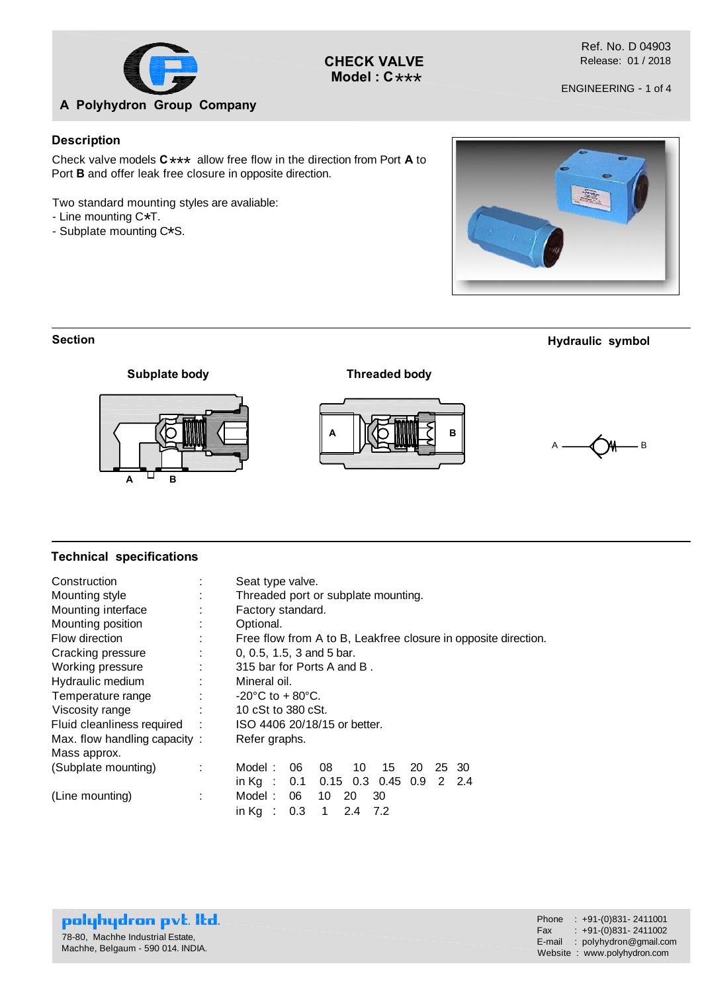

**CHECK VALVE** \*\*\* **Model : C**

Ref. No. D 04903 Release: 01 / 2018

ENGINEERING - 1 of 4

### **Description**

Check valve models  $C \star \star \star$  allow free flow in the direction from Port **A** to Dert **P** and effective also use in approximation Port **B** and offer leak free closure in opposite direction.

Two standard mounting styles are avaliable:

- $-$  Line mounting  $C*T$ .
- Line mounting C\*T.<br>- Subplate mounting C\*S.



#### **Section**

### **Hydraulic symbol**







### **Technical specifications**

| Construction<br>Mounting style |                                                                | Seat type valve.<br>Threaded port or subplate mounting.     |  |  |  |  |  |  |  |  |  |  |  |
|--------------------------------|----------------------------------------------------------------|-------------------------------------------------------------|--|--|--|--|--|--|--|--|--|--|--|
| Mounting interface             |                                                                | Factory standard.                                           |  |  |  |  |  |  |  |  |  |  |  |
| Mounting position              | Optional.<br>٠                                                 |                                                             |  |  |  |  |  |  |  |  |  |  |  |
| Flow direction                 | Free flow from A to B, Leakfree closure in opposite direction. |                                                             |  |  |  |  |  |  |  |  |  |  |  |
| Cracking pressure              | 0, 0.5, 1.5, 3 and 5 bar.<br>$\blacksquare$                    |                                                             |  |  |  |  |  |  |  |  |  |  |  |
| Working pressure               | 315 bar for Ports A and B.<br>٠                                |                                                             |  |  |  |  |  |  |  |  |  |  |  |
| Hydraulic medium               | Mineral oil.                                                   |                                                             |  |  |  |  |  |  |  |  |  |  |  |
| Temperature range              |                                                                | $-20^{\circ}$ C to + 80 $^{\circ}$ C.                       |  |  |  |  |  |  |  |  |  |  |  |
| Viscosity range                |                                                                | 10 cSt to 380 cSt.                                          |  |  |  |  |  |  |  |  |  |  |  |
| Fluid cleanliness required     | ÷                                                              | ISO 4406 20/18/15 or better.                                |  |  |  |  |  |  |  |  |  |  |  |
| Max. flow handling capacity:   |                                                                | Refer graphs.                                               |  |  |  |  |  |  |  |  |  |  |  |
| Mass approx.                   |                                                                |                                                             |  |  |  |  |  |  |  |  |  |  |  |
| (Subplate mounting)            |                                                                | Model :<br>10<br>15<br>06<br>08<br>20<br>25 30              |  |  |  |  |  |  |  |  |  |  |  |
|                                |                                                                | $0.15$ 0.3 0.45<br>in $Kg$ :<br>0.1<br>0.9<br>$2 \quad 2.4$ |  |  |  |  |  |  |  |  |  |  |  |
| (Line mounting)                | ÷                                                              | 06<br>10<br>Model :<br>20<br>30                             |  |  |  |  |  |  |  |  |  |  |  |
|                                |                                                                | 0.3<br>2.4<br>$\mathbf{1}$<br>in $Ka$ :<br>7.2              |  |  |  |  |  |  |  |  |  |  |  |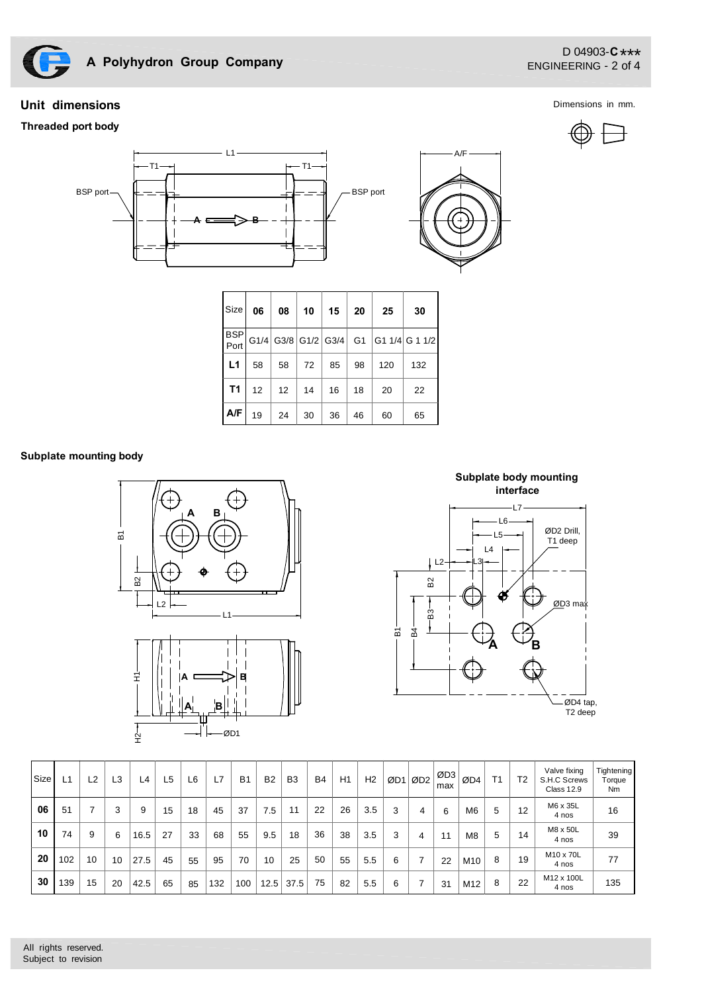

# **Unit dimensions**

### **Threaded port body**

D 04903-**C** \*\*\*<br>FNCINEFRING 2 of 4 ENGINEERING - 2 of 4

Dimensions in mm.



| Size           | 06             | 08               | 10 | 15 | 20 | 25  | 30                                                                     |  |  |
|----------------|----------------|------------------|----|----|----|-----|------------------------------------------------------------------------|--|--|
|                |                |                  |    |    |    |     | $\frac{\text{BSP}}{\text{Port}}$ G1/4 G3/8 G1/2 G3/4 G1 G1 1/4 G 1 1/2 |  |  |
| L1             | 58             | 58               | 72 | 85 | 98 | 120 | 132                                                                    |  |  |
| T <sub>1</sub> | 12             | 12 <sup>12</sup> | 14 | 16 | 18 | 20  | 22                                                                     |  |  |
| A/F            | 19<br>24<br>30 |                  |    | 36 | 46 | 60  | 65                                                                     |  |  |

### **Subplate mounting body**





**A B**  $-83$ ਕੁੰ L3 <u>تو</u> L4  $L<sub>5</sub>$ L6  $\overline{\text{OD}}3 \text{ ma}$ ØD4 tap, T2 deep ØD2 Drill, T1 deep  $-L7$ B2  $|L2$ **Subplate body mounting interface**

A/F

| <b>Size</b> | L <sup>1</sup> | L2 | L3 | L4   | L5 | L6 | L7  | B <sub>1</sub> | B <sub>2</sub> | B <sub>3</sub> | <b>B4</b> | H1 | H <sub>2</sub> | ØD1 | ØD <sub>2</sub> | ØD3<br>max | ØD4             | T1 | T <sub>2</sub> | Valve fixing<br>S.H.C Screws<br><b>Class 12.9</b> | <b>Tightening</b><br>Torque<br>Nm |
|-------------|----------------|----|----|------|----|----|-----|----------------|----------------|----------------|-----------|----|----------------|-----|-----------------|------------|-----------------|----|----------------|---------------------------------------------------|-----------------------------------|
| 06          | 51             |    | 3  | 9    | 15 | 18 | 45  | 37             | 7.5            | 11             | 22        | 26 | 3.5            | 3   | 4               | 6          | M6              | 5  | 12             | M6 x 35L<br>4 nos                                 | 16                                |
| 10          | 74             | 9  | 6  | 16.5 | 27 | 33 | 68  | 55             | 9.5            | 18             | 36        | 38 | 3.5            | 3   | 4               | 11         | M8              | 5  | 14             | M8 x 50L<br>4 nos                                 | 39                                |
| 20          | 102            | 10 | 10 | 27.5 | 45 | 55 | 95  | 70             | 10             | 25             | 50        | 55 | 5.5            | 6   | 7               | 22         | M <sub>10</sub> | 8  | 19             | M10 x 70L<br>4 nos                                | 77                                |
| 30          | 139            | 15 | 20 | 42.5 | 65 | 85 | 132 | 100            | 12.5           | 37.5           | 75        | 82 | 5.5            | 6   |                 | 31         | M <sub>12</sub> | 8  | 22             | M12 x 100L<br>4 nos                               | 135                               |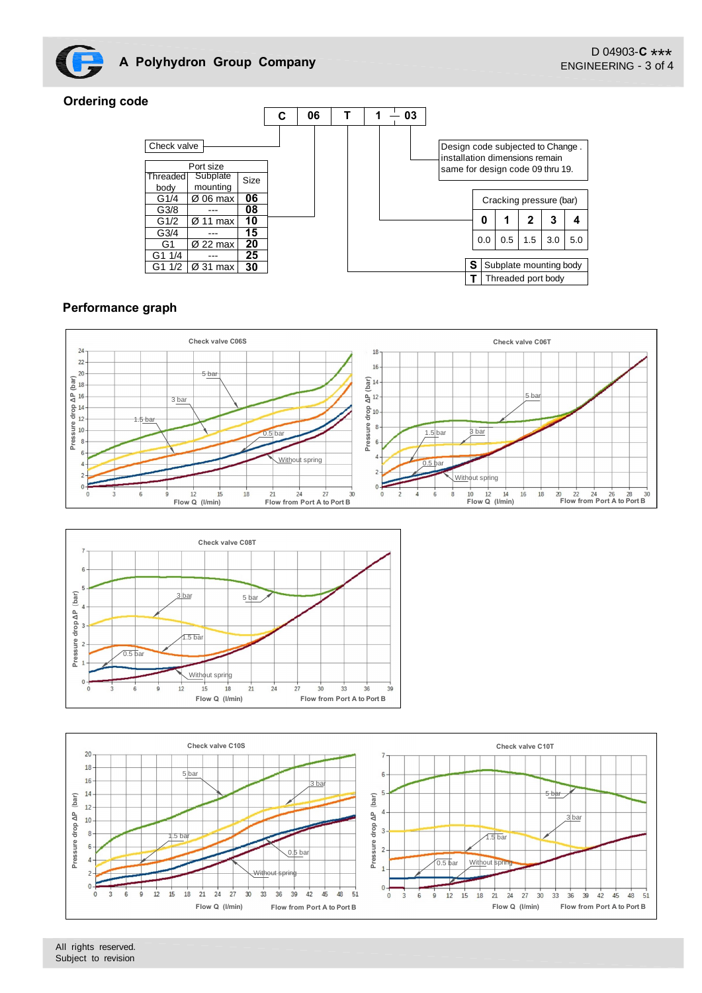

# **Ordering code**



# **Performance graph**